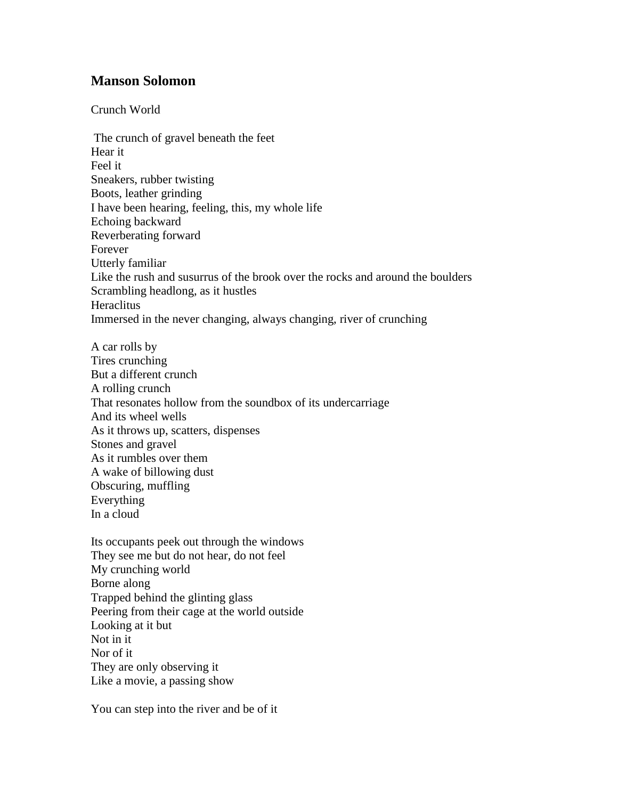## **Manson Solomon**

Crunch World

The crunch of gravel beneath the feet Hear it Feel it Sneakers, rubber twisting Boots, leather grinding I have been hearing, feeling, this, my whole life Echoing backward Reverberating forward Forever Utterly familiar Like the rush and susurrus of the brook over the rocks and around the boulders Scrambling headlong, as it hustles **Heraclitus** Immersed in the never changing, always changing, river of crunching

A car rolls by Tires crunching But a different crunch A rolling crunch That resonates hollow from the soundbox of its undercarriage And its wheel wells As it throws up, scatters, dispenses Stones and gravel As it rumbles over them A wake of billowing dust Obscuring, muffling Everything In a cloud

Its occupants peek out through the windows They see me but do not hear, do not feel My crunching world Borne along Trapped behind the glinting glass Peering from their cage at the world outside Looking at it but Not in it Nor of it They are only observing it Like a movie, a passing show

You can step into the river and be of it